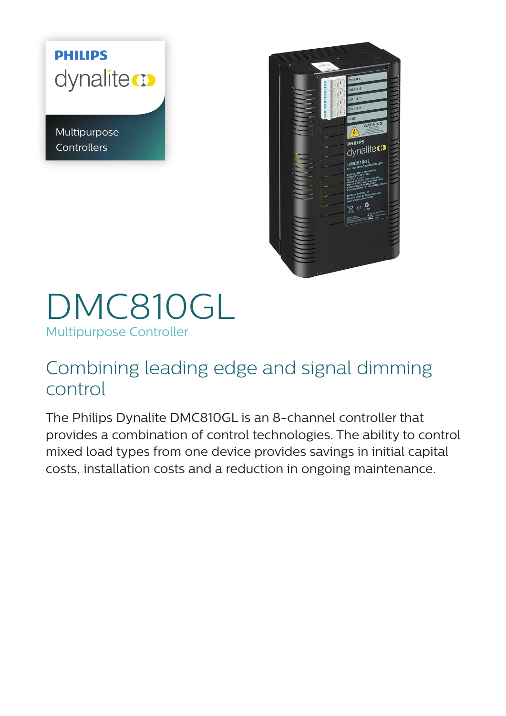## **PHILIPS** dynalite co

Multipurpose **Controllers** 



## DMC810GL Multipurpose Controller

## Combining leading edge and signal dimming control

The Philips Dynalite DMC810GL is an 8-channel controller that provides a combination of control technologies. The ability to control mixed load types from one device provides savings in initial capital costs, installation costs and a reduction in ongoing maintenance.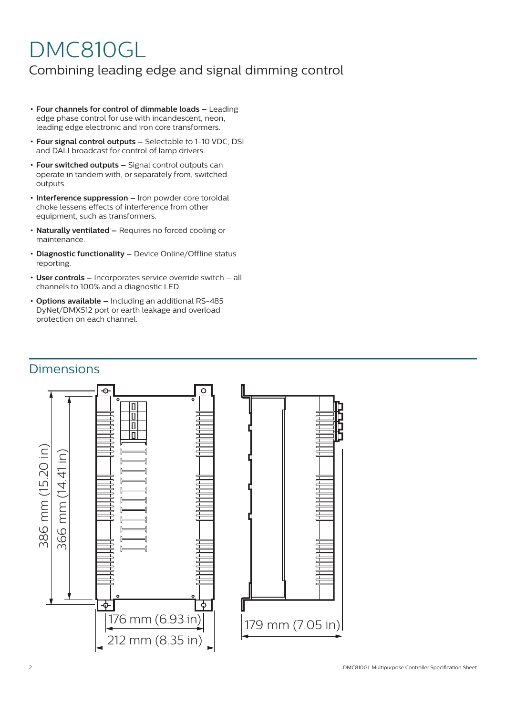# DMC810GL

### Combining leading edge and signal dimming control

- **• Four channels for control of dimmable loads** Leading edge phase control for use with incandescent, neon, leading edge electronic and iron core transformers.
- **• Four signal control outputs** Selectable to 1-10 VDC, DSI and DALI broadcast for control of lamp drivers.
- **• Four switched outputs** Signal control outputs can operate in tandem with, or separately from, switched outputs.
- **• Interference suppression** Iron powder core toroidal choke lessens effects of interference from other equipment, such as transformers.
- **• Naturally ventilated** Requires no forced cooling or maintenance.
- **• Diagnostic functionality** Device Online/Offline status reporting.
- **• User controls –** Incorporates service override switch all channels to 100% and a diagnostic LED.
- **• Options available –** Including an additional RS-485 DyNet/DMX512 port or earth leakage and overload protection on each channel.

#### **Dimensions**

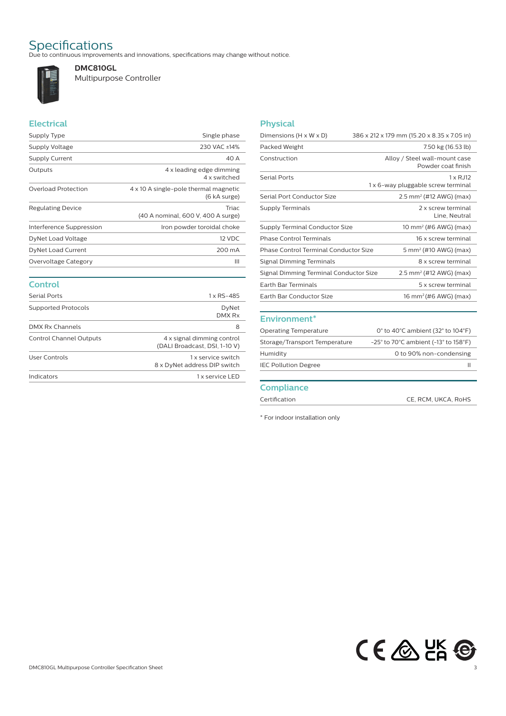Specifications<br>Due to continuous improvements and innovations, specifications may change without notice.



**DMC810GL** Multipurpose Controller

#### **Electrical**

| Supply Type              | Single phase                                          |
|--------------------------|-------------------------------------------------------|
| Supply Voltage           | 230 VAC ±14%                                          |
| <b>Supply Current</b>    | 40 A                                                  |
| Outputs                  | 4 x leading edge dimming<br>4 x switched              |
| Overload Protection      | 4 x 10 A single-pole thermal magnetic<br>(6 kA surge) |
| Regulating Device        | <b>Triac</b><br>(40 A nominal, 600 V, 400 A surge)    |
| Interference Suppression | Iron powder toroidal choke                            |
| DyNet Load Voltage       | 12 VDC                                                |
| DyNet Load Current       | 200 mA                                                |
| Overvoltage Category     | Ш                                                     |
|                          |                                                       |

## **Control**

| <b>Serial Ports</b>        | 1 x RS-485                                                  |  |
|----------------------------|-------------------------------------------------------------|--|
| <b>Supported Protocols</b> | DyNet<br>DMX Rx                                             |  |
| DMX Rx Channels            | 8                                                           |  |
| Control Channel Outputs    | 4 x signal dimming control<br>(DALI Broadcast, DSI, 1-10 V) |  |
| User Controls              | 1 x service switch<br>8 x DyNet address DIP switch          |  |
| Indicators                 | 1 x service LED                                             |  |

#### **Physical**

| Dimensions $(H \times W \times D)$     | 386 x 212 x 179 mm (15.20 x 8.35 x 7.05 in)               |
|----------------------------------------|-----------------------------------------------------------|
| Packed Weight                          | 7.50 kg (16.53 lb)                                        |
| Construction                           | Alloy / Steel wall-mount case<br>Powder coat finish       |
| <b>Serial Ports</b>                    | $1 \times R$ J $12$<br>1 x 6-way pluggable screw terminal |
| Serial Port Conductor Size             | $2.5$ mm <sup>2</sup> (#12 AWG) (max)                     |
| Supply Terminals                       | 2 x screw terminal<br>Line, Neutral                       |
| Supply Terminal Conductor Size         | 10 mm <sup>2</sup> (#6 AWG) (max)                         |
| Phase Control Terminals                | 16 x screw terminal                                       |
| Phase Control Terminal Conductor Size  | 5 mm <sup>2</sup> (#10 AWG) (max)                         |
| Signal Dimming Terminals               | 8 x screw terminal                                        |
| Signal Dimming Terminal Conductor Size | $2.5$ mm <sup>2</sup> (#12 AWG) (max)                     |
| <b>Farth Bar Terminals</b>             | 5 x screw terminal                                        |
| Earth Bar Conductor Size               | 16 mm <sup>2</sup> (#6 AWG) (max)                         |
|                                        |                                                           |

#### **Environment\***

| <b>Operating Temperature</b>  | 0 $\degree$ to 40 $\degree$ C ambient (32 $\degree$ to 104 $\degree$ F)       |
|-------------------------------|-------------------------------------------------------------------------------|
| Storage/Transport Temperature | $-25^{\circ}$ to 70 $^{\circ}$ C ambient (-13 $^{\circ}$ to 158 $^{\circ}$ F) |
| Humidity                      | 0 to 90% non-condensing                                                       |
| <b>IEC Pollution Degree</b>   | Ш                                                                             |
|                               |                                                                               |

#### **Compliance**

Certification CE, RCM, UKCA, RoHS

\* For indoor installation only